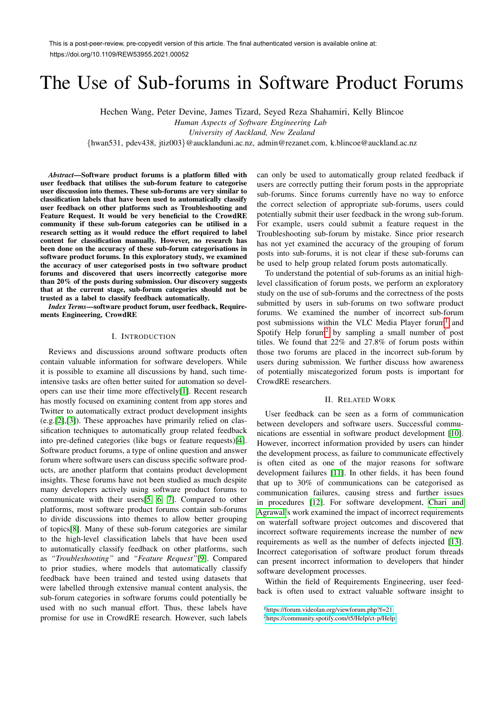# The Use of Sub-forums in Software Product Forums

Hechen Wang, Peter Devine, James Tizard, Seyed Reza Shahamiri, Kelly Blincoe

*Human Aspects of Software Engineering Lab*

*University of Auckland, New Zealand*

*{*hwan531, pdev438, jtiz003*}*@aucklanduni.ac.nz, admin@rezanet.com, k.blincoe@auckland.ac.nz

*Abstract*—Software product forums is a platform filled with user feedback that utilises the sub-forum feature to categorise user discussion into themes. These sub-forums are very similar to classification labels that have been used to automatically classify user feedback on other platforms such as Troubleshooting and Feature Request. It would be very beneficial to the CrowdRE community if these sub-forum categories can be utilised in a research setting as it would reduce the effort required to label content for classification manually. However, no research has been done on the accuracy of these sub-forum categorisations in software product forums. In this exploratory study, we examined the accuracy of user categorised posts in two software product forums and discovered that users incorrectly categorise more than 20% of the posts during submission. Our discovery suggests that at the current stage, sub-forum categories should not be trusted as a label to classify feedback automatically.

*Index Terms*—software product forum, user feedback, Requirements Engineering, CrowdRE

#### I. INTRODUCTION

Reviews and discussions around software products often contain valuable information for software developers. While it is possible to examine all discussions by hand, such timeintensive tasks are often better suited for automation so developers can use their time more effectively[1]. Recent research has mostly focused on examining content from app stores and Twitter to automatically extract product development insights  $(e.g. [2], [3])$ . These approaches have primarily relied on classification techniques to automatically group related feedback into pre-defined categories (like bugs or feature requests)[4]. Software product forums, a type of online question and answer forum where software users can discuss specific software products, are another platform that contains product development insights. These forums have not been studied as much despite many developers actively using software product forums to communicate with their users  $\begin{bmatrix} 5 \\ 6 \end{bmatrix}$   $\begin{bmatrix} 7 \\ 1 \end{bmatrix}$ . Compared to other platforms, most software product forums contain sub-forums to divide discussions into themes to allow better grouping of topics[8]. Many of these sub-forum categories are similar to the high-level classification labels that have been used to automatically classify feedback on other platforms, such as *"Troubleshooting"* and *"Feature Request"*[9]. Compared to prior studies, where models that automatically classify feedback have been trained and tested using datasets that were labelled through extensive manual content analysis, the sub-forum categories in software forums could potentially be used with no such manual effort. Thus, these labels have promise for use in CrowdRE research. However, such labels

can only be used to automatically group related feedback if users are correctly putting their forum posts in the appropriate sub-forums. Since forums currently have no way to enforce the correct selection of appropriate sub-forums, users could potentially submit their user feedback in the wrong sub-forum. For example, users could submit a feature request in the Troubleshooting sub-forum by mistake. Since prior research has not yet examined the accuracy of the grouping of forum posts into sub-forums, it is not clear if these sub-forums can be used to help group related forum posts automatically.

To understand the potential of sub-forums as an initial highlevel classification of forum posts, we perform an exploratory study on the use of sub-forums and the correctness of the posts submitted by users in sub-forums on two software product forums. We examined the number of incorrect sub-forum post submissions within the VLC Media Player forum<sup>1</sup> and Spotify Help forum<sup>2</sup> by sampling a small number of post titles. We found that 22% and 27.8% of forum posts within those two forums are placed in the incorrect sub-forum by users during submission. We further discuss how awareness of potentially miscategorized forum posts is important for CrowdRE researchers.

### II. RELATED WORK

User feedback can be seen as a form of communication between developers and software users. Successful communications are essential in software product development [10]. However, incorrect information provided by users can hinder the development process, as failure to communicate effectively is often cited as one of the major reasons for software development failures [11]. In other fields, it has been found that up to 30% of communications can be categorised as communication failures, causing stress and further issues in procedures  $[12]$ . For software development, Chari and Agrawal's work examined the impact of incorrect requirements on waterfall software project outcomes and discovered that incorrect software requirements increase the number of new requirements as well as the number of defects injected [13]. Incorrect categorisation of software product forum threads can present incorrect information to developers that hinder software development processes.

Within the field of Requirements Engineering, user feedback is often used to extract valuable software insight to

<sup>1</sup>https://forum.videolan.org/viewforum.php?f=21 <sup>2</sup>https://community.spotify.com/t5/Help/ct-p/Help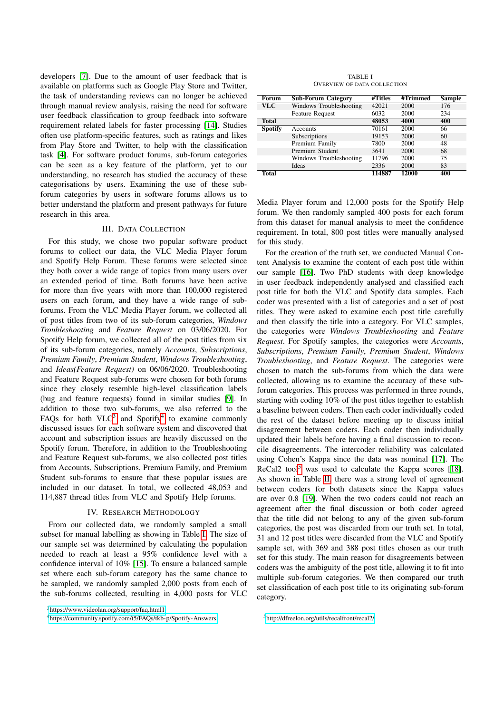developers [7]. Due to the amount of user feedback that is available on platforms such as Google Play Store and Twitter, the task of understanding reviews can no longer be achieved through manual review analysis, raising the need for software user feedback classification to group feedback into software requirement related labels for faster processing [14]. Studies often use platform-specific features, such as ratings and likes from Play Store and Twitter, to help with the classification task [4]. For software product forums, sub-forum categories can be seen as a key feature of the platform, yet to our understanding, no research has studied the accuracy of these categorisations by users. Examining the use of these subforum categories by users in software forums allows us to better understand the platform and present pathways for future research in this area.

## III. DATA COLLECTION

For this study, we chose two popular software product forums to collect our data, the VLC Media Player forum and Spotify Help Forum. These forums were selected since they both cover a wide range of topics from many users over an extended period of time. Both forums have been active for more than five years with more than 100,000 registered users on each forum, and they have a wide range of subforums. From the VLC Media Player forum, we collected all of post titles from two of its sub-forum categories, *Windows Troubleshooting* and *Feature Request* on 03/06/2020. For Spotify Help forum, we collected all of the post titles from six of its sub-forum categories, namely *Accounts*, *Subscriptions*, *Premium Family*, *Premium Student*, *Windows Troubleshooting*, and *Ideas(Feature Request)* on 06/06/2020. Troubleshooting and Feature Request sub-forums were chosen for both forums since they closely resemble high-level classification labels (bug and feature requests) found in similar studies [9]. In addition to those two sub-forums, we also referred to the FAQs for both VLC $3$  and Spotify<sup>4</sup> to examine commonly discussed issues for each software system and discovered that account and subscription issues are heavily discussed on the Spotify forum. Therefore, in addition to the Troubleshooting and Feature Request sub-forums, we also collected post titles from Accounts, Subscriptions, Premium Family, and Premium Student sub-forums to ensure that these popular issues are included in our dataset. In total, we collected 48,053 and 114,887 thread titles from VLC and Spotify Help forums.

#### IV. RESEARCH METHODOLOGY

From our collected data, we randomly sampled a small subset for manual labelling as showing in Table  $\overline{1}$ . The size of our sample set was determined by calculating the population needed to reach at least a 95% confidence level with a confidence interval of 10% [15]. To ensure a balanced sample set where each sub-forum category has the same chance to be sampled, we randomly sampled 2,000 posts from each of the sub-forums collected, resulting in 4,000 posts for VLC

<sup>3</sup>https://www.videolan.org/support/faq.html1

4https://community.spotify.com/t5/FAQs/tkb-p/Spotify-Answers

TABLE I OVERVIEW OF DATA COLLECTION

| Forum          | <b>Sub-Forum Category</b> | #Titles | #Trimmed | Sample |
|----------------|---------------------------|---------|----------|--------|
| <b>VLC</b>     | Windows Troubleshooting   | 42021   | 2000     | 176    |
|                | <b>Feature Request</b>    | 6032    | 2000     | 234    |
| <b>Total</b>   |                           | 48053   | 4000     | 400    |
| <b>Spotify</b> | Accounts                  | 70161   | 2000     | 66     |
|                | Subscriptions             | 19153   | 2000     | 60     |
|                | Premium Family            | 7800    | 2000     | 48     |
|                | Premium Student           | 3641    | 2000     | 68     |
|                | Windows Troubleshooting   | 11796   | 2000     | 75     |
|                | Ideas                     | 2336    | 2000     | 83     |
| Total          |                           | 114887  | 12000    | 400    |

Media Player forum and 12,000 posts for the Spotify Help forum. We then randomly sampled 400 posts for each forum from this dataset for manual analysis to meet the confidence requirement. In total, 800 post titles were manually analysed for this study.

For the creation of the truth set, we conducted Manual Content Analysis to examine the content of each post title within our sample [16]. Two PhD students with deep knowledge in user feedback independently analysed and classified each post title for both the VLC and Spotify data samples. Each coder was presented with a list of categories and a set of post titles. They were asked to examine each post title carefully and then classify the title into a category. For VLC samples, the categories were *Windows Troubleshooting* and *Feature Request*. For Spotify samples, the categories were *Accounts*, *Subscriptions*, *Premium Family*, *Premium Student*, *Windows Troubleshooting*, and *Feature Request*. The categories were chosen to match the sub-forums from which the data were collected, allowing us to examine the accuracy of these subforum categories. This process was performed in three rounds, starting with coding 10% of the post titles together to establish a baseline between coders. Then each coder individually coded the rest of the dataset before meeting up to discuss initial disagreement between coders. Each coder then individually updated their labels before having a final discussion to reconcile disagreements. The intercoder reliability was calculated using Cohen's Kappa since the data was nominal [17]. The ReCal2 tool<sup>5</sup> was used to calculate the Kappa scores  $[18]$ . As shown in Table  $\overline{III}$  there was a strong level of agreement between coders for both datasets since the Kappa values are over 0.8 [19]. When the two coders could not reach an agreement after the final discussion or both coder agreed that the title did not belong to any of the given sub-forum categories, the post was discarded from our truth set. In total, 31 and 12 post titles were discarded from the VLC and Spotify sample set, with 369 and 388 post titles chosen as our truth set for this study. The main reason for disagreements between coders was the ambiguity of the post title, allowing it to fit into multiple sub-forum categories. We then compared our truth set classification of each post title to its originating sub-forum category.

5http://dfreelon.org/utils/recalfront/recal2/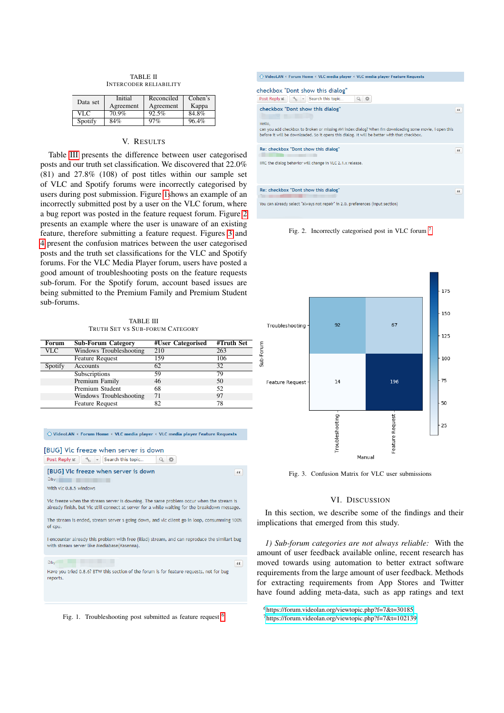| <b>TABLE II</b>               |  |  |  |  |  |
|-------------------------------|--|--|--|--|--|
| <b>INTERCODER RELIABILITY</b> |  |  |  |  |  |

| Data set | Initial   | Reconciled | Cohen's |
|----------|-----------|------------|---------|
|          | Agreement | Agreement  | Kappa   |
| VLC      | 70.9%     | 92.5%      | 84.8%   |
| Spotify  | 84%       | 97%        | 96.4%   |

## V. RESULTS

Table **III** presents the difference between user categorised posts and our truth set classification. We discovered that 22.0% (81) and 27.8% (108) of post titles within our sample set of VLC and Spotify forums were incorrectly categorised by users during post submission. Figure  $\frac{1}{\sqrt{2}}$  hows an example of an incorrectly submitted post by a user on the VLC forum, where a bug report was posted in the feature request forum. Figure  $\boxed{2}$ presents an example where the user is unaware of an existing feature, therefore submitting a feature request. Figures  $\overline{3}$  and 4 present the confusion matrices between the user categorised posts and the truth set classifications for the VLC and Spotify forums. For the VLC Media Player forum, users have posted a good amount of troubleshooting posts on the feature requests sub-forum. For the Spotify forum, account based issues are being submitted to the Premium Family and Premium Student sub-forums.

TABLE III TRUTH SET VS SUB-FORUM CATEGORY

| Forum      | <b>Sub-Forum Category</b> | #User Categorised | $\overline{\text{H}$ Truth Set |
|------------|---------------------------|-------------------|--------------------------------|
| <b>VLC</b> | Windows Troubleshooting   | 210               | 263                            |
|            | <b>Feature Request</b>    | 159               | 106                            |
| Spotify    | Accounts                  | 62                | 32                             |
|            | Subscriptions             | 59                | 79                             |
|            | Premium Family            | 46                | 50                             |
|            | Premium Student           | 68                | 52                             |
|            | Windows Troubleshooting   | 71                | 97                             |
|            | <b>Feature Request</b>    | 82                | 78                             |

| $\bigcirc$ VideoLAN < Forum Home < VLC media player < VLC media player Feature Requests                                                                                                   |
|-------------------------------------------------------------------------------------------------------------------------------------------------------------------------------------------|
| [BUG] Vlc freeze when server is down<br>Post Reply $K = \begin{bmatrix} 1 & 1 \\ 1 & 1 \end{bmatrix}$ Search this topic                                                                   |
| [BUG] VIc freeze when server is down<br>66<br>$\Box$ by<br>With vlc 0.8.5 windows                                                                                                         |
| Vlc freeze when the stream server is downing. The same problem occur when the stream is<br>already finish, but Vlc still connect at server for a while waiting for the breakdown message. |
| The stream is ended, stream server s going down, and vlc client go in loop, consumming 100%<br>of cpu.                                                                                    |
| I encounter already this problem with free (iliad) stream, and can reproduce the similart bug<br>with stream server like Mediabase(Kasenna).                                              |
| Dby<br>66<br>Have you tried 0.8.6? BTW this section of the forum is for feature requests, not for bug<br>reports.                                                                         |



| $\bigcirc$ VideoLAN < Forum Home < VLC media player < VLC media player Feature Requests                                                                                                                                                                                            |    |
|------------------------------------------------------------------------------------------------------------------------------------------------------------------------------------------------------------------------------------------------------------------------------------|----|
| checkbox "Dont show this dialog"<br>Search this topic<br>盎<br>Post Reply K<br>$\frac{1}{2}$ -<br>Q.                                                                                                                                                                                |    |
| checkbox "Dont show this dialog"<br><b>But the company's</b><br>Hello,<br>can you add checkbox to Broken or missing AVI index dialog? When I'm downloading some movie, i open this<br>before it will be downloaded. So it opens this dialog. It will be better with that checkbox. | 66 |
| Re: checkbox "Dont show this dialog"<br>IIRC the dialog behavior will change in VLC 2.1.x release.                                                                                                                                                                                 | 66 |
| Re: checkbox "Dont show this dialog"<br>You can already select "always not repair" in 2.0. preferences (input section)                                                                                                                                                             | 66 |

Fig. 2. Incorrectly categorised post in VLC forum  $\frac{7}{1}$ 



Fig. 3. Confusion Matrix for VLC user submissions

# VI. DISCUSSION

In this section, we describe some of the findings and their implications that emerged from this study.

*1) Sub-forum categories are not always reliable:* With the amount of user feedback available online, recent research has moved towards using automation to better extract software requirements from the large amount of user feedback. Methods for extracting requirements from App Stores and Twitter have found adding meta-data, such as app ratings and text

6https://forum.videolan.org/viewtopic.php?f=7&t=30185  $\frac{7}{1}$ https://forum.videolan.org/viewtopic.php?f=7&t=102139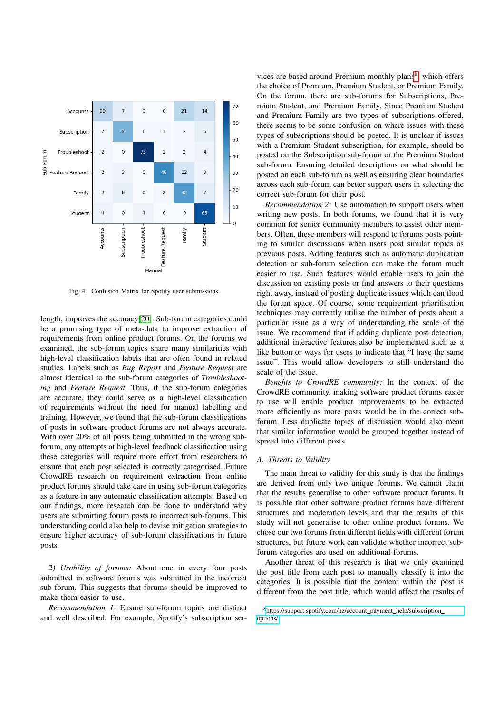

Fig. 4. Confusion Matrix for Spotify user submissions

length, improves the accuracy[20]. Sub-forum categories could be a promising type of meta-data to improve extraction of requirements from online product forums. On the forums we examined, the sub-forum topics share many similarities with high-level classification labels that are often found in related studies. Labels such as *Bug Report* and *Feature Request* are almost identical to the sub-forum categories of *Troubleshooting* and *Feature Request*. Thus, if the sub-forum categories are accurate, they could serve as a high-level classification of requirements without the need for manual labelling and training. However, we found that the sub-forum classifications of posts in software product forums are not always accurate. With over 20% of all posts being submitted in the wrong subforum, any attempts at high-level feedback classification using these categories will require more effort from researchers to ensure that each post selected is correctly categorised. Future CrowdRE research on requirement extraction from online product forums should take care in using sub-forum categories as a feature in any automatic classification attempts. Based on our findings, more research can be done to understand why users are submitting forum posts to incorrect sub-forums. This understanding could also help to devise mitigation strategies to ensure higher accuracy of sub-forum classifications in future posts.

*2) Usability of forums:* About one in every four posts submitted in software forums was submitted in the incorrect sub-forum. This suggests that forums should be improved to make them easier to use.

*Recommendation 1*: Ensure sub-forum topics are distinct and well described. For example, Spotify's subscription ser-

vices are based around Premium monthly plans which offers the choice of Premium, Premium Student, or Premium Family. On the forum, there are sub-forums for Subscriptions, Premium Student, and Premium Family. Since Premium Student and Premium Family are two types of subscriptions offered, there seems to be some confusion on where issues with these types of subscriptions should be posted. It is unclear if issues with a Premium Student subscription, for example, should be posted on the Subscription sub-forum or the Premium Student sub-forum. Ensuring detailed descriptions on what should be posted on each sub-forum as well as ensuring clear boundaries across each sub-forum can better support users in selecting the correct sub-forum for their post.

*Recommendation 2:* Use automation to support users when writing new posts. In both forums, we found that it is very common for senior community members to assist other members. Often, these members will respond to forums posts pointing to similar discussions when users post similar topics as previous posts. Adding features such as automatic duplication detection or sub-forum selection can make the forum much easier to use. Such features would enable users to join the discussion on existing posts or find answers to their questions right away, instead of posting duplicate issues which can flood the forum space. Of course, some requirement prioritisation techniques may currently utilise the number of posts about a particular issue as a way of understanding the scale of the issue. We recommend that if adding duplicate post detection, additional interactive features also be implemented such as a like button or ways for users to indicate that "I have the same issue". This would allow developers to still understand the scale of the issue.

*Benefits to CrowdRE community:* In the context of the CrowdRE community, making software product forums easier to use will enable product improvements to be extracted more efficiently as more posts would be in the correct subforum. Less duplicate topics of discussion would also mean that similar information would be grouped together instead of spread into different posts.

## *A. Threats to Validity*

The main threat to validity for this study is that the findings are derived from only two unique forums. We cannot claim that the results generalise to other software product forums. It is possible that other software product forums have different structures and moderation levels and that the results of this study will not generalise to other online product forums. We chose our two forums from different fields with different forum structures, but future work can validate whether incorrect subforum categories are used on additional forums.

Another threat of this research is that we only examined the post title from each post to manually classify it into the categories. It is possible that the content within the post is different from the post title, which would affect the results of

<sup>&</sup>lt;sup>8</sup>https://support.spotify.com/nz/account\_payment\_help/subscription\_ options/